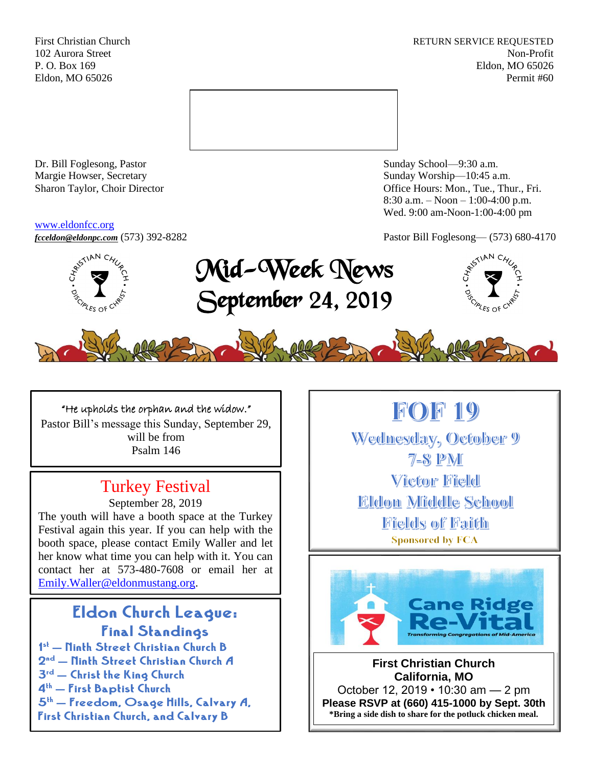First Christian Church **RETURN SERVICE REQUESTED** 102 Aurora Street Non-Profit P. O. Box 169 Eldon, MO 65026 Eldon, MO 65026 Permit #60



Dr. Bill Foglesong, Pastor Sunday School—9:30 a.m. Margie Howser, Secretary Sunday Worship—10:45 a.m.

#### [www.eldonfcc.org](http://www.eldonfcc.org/)

Sharon Taylor, Choir Director **Channel Controllering Controllering Controllering Controllering Controllering Controllering Controllering Controllering Controllering Controllering Controllering Controllering Controllering C** 8:30 a.m. – Noon – 1:00-4:00 p.m. Wed. 9:00 am-Noon-1:00-4:00 pm



*[fcceldon@eldonpc.com](mailto:fcceldon@eldonpc.com)* (573) 392-8282 Pastor Bill Foglesong— (573) 680-4170<br> $\delta^{\mathcal{S}^{(5^{(1)^{kN}C_{4_{\mathcal{U}_{\mathcal{S}}}})}}_{\mathcal{S}^{2^{k}}_{\mathcal{S}^{2^{k}}_{\mathcal{S}^{2^{k}}_{\mathcal{S}^{2^{k}}_{\mathcal{S}^{2^{k}}_{\mathcal{S}^{2^{k}}_{\mathcal{S}^{2^{k}}_{\mathcal{S}^{2^{k}}_{\mathcal{S}^{2^{$ Mid-Week News September 24, 2019





## "He upholds the orphan and the widow."

Pastor Bill's message this Sunday, September 29, will be from Psalm 146

# Turkey Festival

September 28, 2019

The youth will have a booth space at the Turkey Festival again this year. If you can help with the booth space, please contact Emily Waller and let her know what time you can help with it. You can contact her at 573-480-7608 or email her at [Emily.Waller@eldonmustang.org.](mailto:Emily.Waller@eldonmustang.org)

# Eldon Church League: Final Standings

1 st – Ninth Street Christian Church B 2<sup>nd</sup> – Ninth Street Christian Church A 3rd – Christ the King Church 4th – First Baptist Church  $5<sup>th</sup>$  – Freedom, Osage Hills, Calvary A, First Christian Church, and Calvary B

# **FOF 19**

Wednesday, October 9  $7 - 8$  PM **Victor Field Eldon Middle School** Fields of Faith **Sponsored by FCA** 



**First Christian Church California, MO** October 12, 2019 • 10:30 am — 2 pm **Please RSVP at (660) 415-1000 by Sept. 30th \*Bring a side dish to share for the potluck chicken meal.**